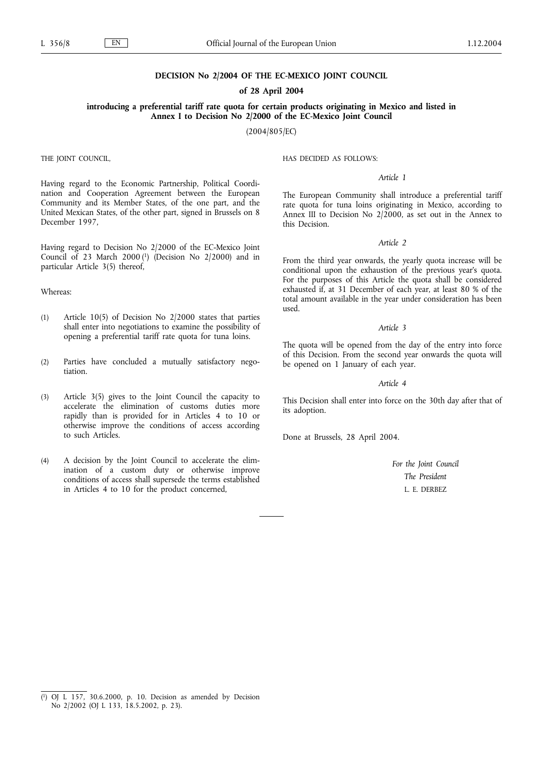#### **DECISION No 2/2004 OF THE EC-MEXICO JOINT COUNCIL**

#### **of 28 April 2004**

**introducing a preferential tariff rate quota for certain products originating in Mexico and listed in Annex I to Decision No 2/2000 of the EC-Mexico Joint Council**

(2004/805/EC)

THE JOINT COUNCIL,

Having regard to the Economic Partnership, Political Coordination and Cooperation Agreement between the European Community and its Member States, of the one part, and the United Mexican States, of the other part, signed in Brussels on 8 December 1997,

Having regard to Decision No 2/2000 of the EC-Mexico Joint Council of 23 March 2000 $(1)$  (Decision No 2/2000) and in particular Article 3(5) thereof,

## Whereas:

- (1) Article 10(5) of Decision No 2/2000 states that parties shall enter into negotiations to examine the possibility of opening a preferential tariff rate quota for tuna loins.
- (2) Parties have concluded a mutually satisfactory negotiation.
- (3) Article 3(5) gives to the Joint Council the capacity to accelerate the elimination of customs duties more rapidly than is provided for in Articles 4 to 10 or otherwise improve the conditions of access according to such Articles.
- (4) A decision by the Joint Council to accelerate the elimination of a custom duty or otherwise improve conditions of access shall supersede the terms established in Articles 4 to 10 for the product concerned,

HAS DECIDED AS FOLLOWS:

### *Article 1*

The European Community shall introduce a preferential tariff rate quota for tuna loins originating in Mexico, according to Annex III to Decision No 2/2000, as set out in the Annex to this Decision.

#### *Article 2*

From the third year onwards, the yearly quota increase will be conditional upon the exhaustion of the previous year's quota. For the purposes of this Article the quota shall be considered exhausted if, at 31 December of each year, at least 80 % of the total amount available in the year under consideration has been used.

#### *Article 3*

The quota will be opened from the day of the entry into force of this Decision. From the second year onwards the quota will be opened on 1 January of each year.

## *Article 4*

This Decision shall enter into force on the 30th day after that of its adoption.

Done at Brussels, 28 April 2004.

*For the Joint Council The President* L. E. DERBEZ

<sup>(</sup> 1) OJ L 157, 30.6.2000, p. 10. Decision as amended by Decision No 2/2002 (OJ L 133, 18.5.2002, p. 23).